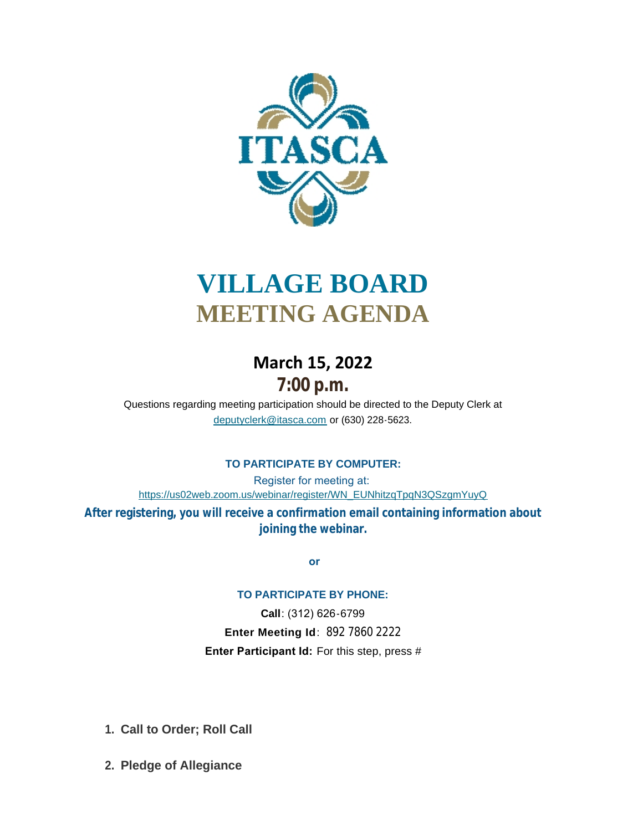

# **VILLAGE BOARD MEETING AGENDA**

# **March 15, 2022 7:00 p.m.**

[Questions regarding meeting participation sho](mailto:deputyclerk@itasca.com)uld be directed to the Deputy Clerk at deputyclerk@itasca.com or (630) 228-5623.

## **TO PARTICIPATE BY COMPUTER:**

Register for meeting at: [https://us02web.zoom.us/webinar/register/WN\\_EUNhitzqTpqN3QSzgmYuyQ](https://us02web.zoom.us/webinar/register/WN_EUNhitzqTpqN3QSzgmYuyQ)

**After registering, you will receive a confirmation email containing information about joining the webinar.**

 **or**

#### **TO PARTICIPATE BY PHONE:**

**Call**: (312) 626-6799 **Enter Meeting Id**: 892 7860 2222 **Enter Participant Id:** For this step, press #

- **Call to Order; Roll Call 1.**
- **Pledge of Allegiance 2.**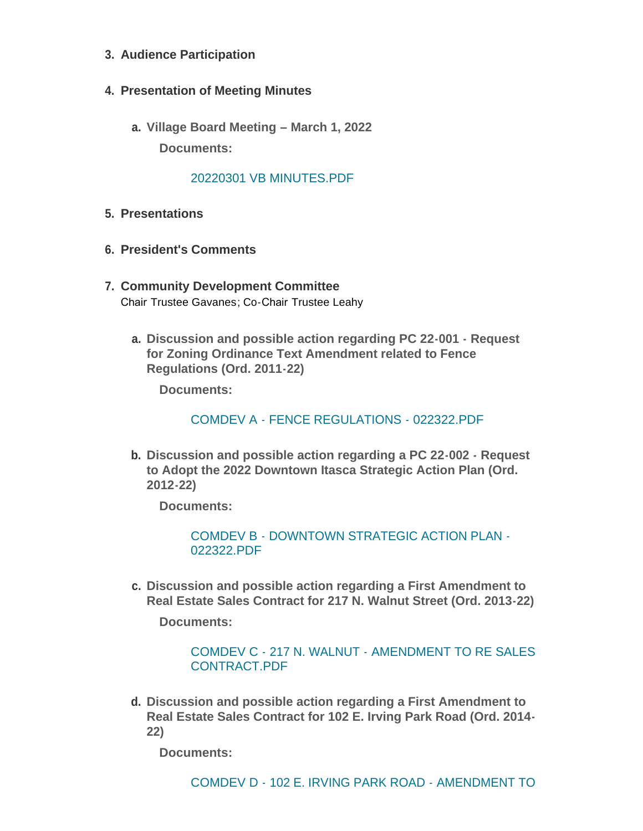- **Audience Participation 3.**
- **Presentation of Meeting Minutes 4.**
	- **Village Board Meeting – March 1, 2022 a. Documents:**

#### [20220301 VB MINUTES.PDF](http://www.itasca.com/AgendaCenter/ViewFile/Item/7516?fileID=9433)

- **Presentations 5.**
- **President's Comments 6.**
- **Community Development Committee 7.** Chair Trustee Gavanes; Co-Chair Trustee Leahy
	- **Discussion and possible action regarding PC 22-001 Request a. for Zoning Ordinance Text Amendment related to Fence Regulations (Ord. 2011-22)**

**Documents:**

[COMDEV A - FENCE REGULATIONS - 022322.PDF](http://www.itasca.com/AgendaCenter/ViewFile/Item/7517?fileID=9434)

**Discussion and possible action regarding a PC 22-002 - Request b. to Adopt the 2022 Downtown Itasca Strategic Action Plan (Ord. 2012-22)**

**Documents:**

[COMDEV B - DOWNTOWN STRATEGIC ACTION PLAN -](http://www.itasca.com/AgendaCenter/ViewFile/Item/7518?fileID=9435) 022322.PDF

**Discussion and possible action regarding a First Amendment to c. Real Estate Sales Contract for 217 N. Walnut Street (Ord. 2013-22)**

**Documents:**

#### [COMDEV C - 217 N. WALNUT - AMENDMENT TO RE SALES](http://www.itasca.com/AgendaCenter/ViewFile/Item/7519?fileID=9436)  CONTRACT.PDF

**Discussion and possible action regarding a First Amendment to d. Real Estate Sales Contract for 102 E. Irving Park Road (Ord. 2014- 22)**

**Documents:**